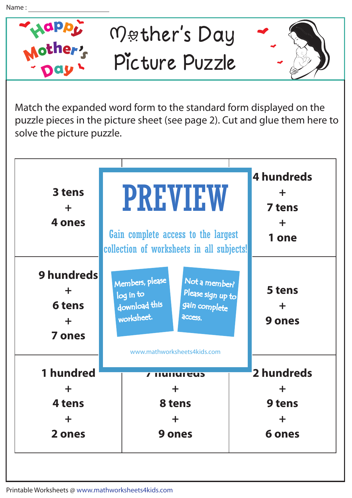

Match the expanded word form to the standard form displayed on the puzzle pieces in the picture sheet (see page 2). Cut and glue them here to solve the picture puzzle.

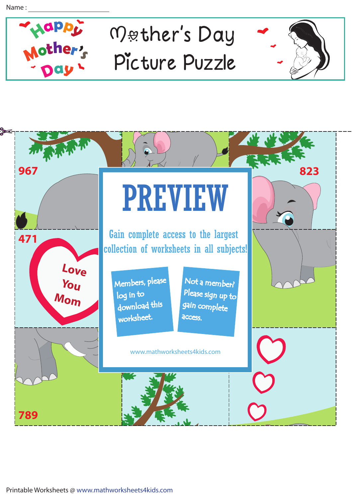